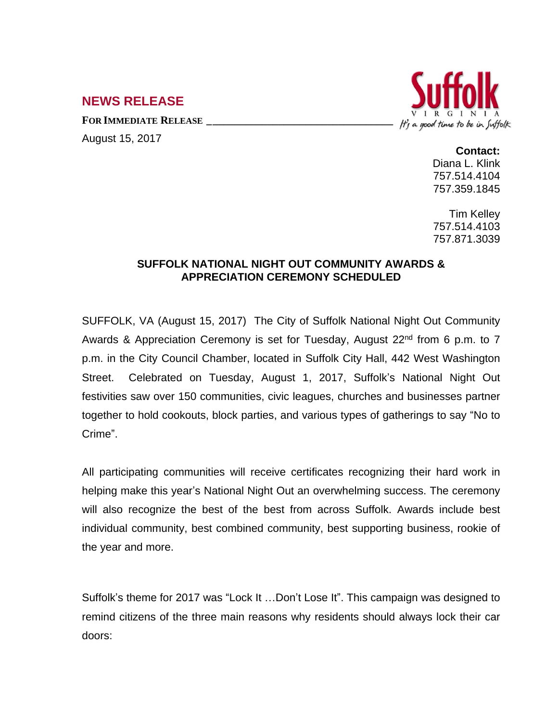## **NEWS RELEASE**

**FOR IMMEDIATE RELEASE \_\_\_\_\_\_\_\_\_\_\_\_\_\_\_\_\_\_\_\_\_\_\_\_\_\_\_\_\_\_\_\_\_\_**

August 15, 2017



## **Contact:**

Diana L. Klink 757.514.4104 757.359.1845

Tim Kelley 757.514.4103 757.871.3039

## **SUFFOLK NATIONAL NIGHT OUT COMMUNITY AWARDS & APPRECIATION CEREMONY SCHEDULED**

SUFFOLK, VA (August 15, 2017) The City of Suffolk National Night Out Community Awards & Appreciation Ceremony is set for Tuesday, August 22<sup>nd</sup> from 6 p.m. to 7 p.m. in the City Council Chamber, located in Suffolk City Hall, 442 West Washington Street. Celebrated on Tuesday, August 1, 2017, Suffolk's National Night Out festivities saw over 150 communities, civic leagues, churches and businesses partner together to hold cookouts, block parties, and various types of gatherings to say "No to Crime".

All participating communities will receive certificates recognizing their hard work in helping make this year's National Night Out an overwhelming success. The ceremony will also recognize the best of the best from across Suffolk. Awards include best individual community, best combined community, best supporting business, rookie of the year and more.

Suffolk's theme for 2017 was "Lock It …Don't Lose It". This campaign was designed to remind citizens of the three main reasons why residents should always lock their car doors: